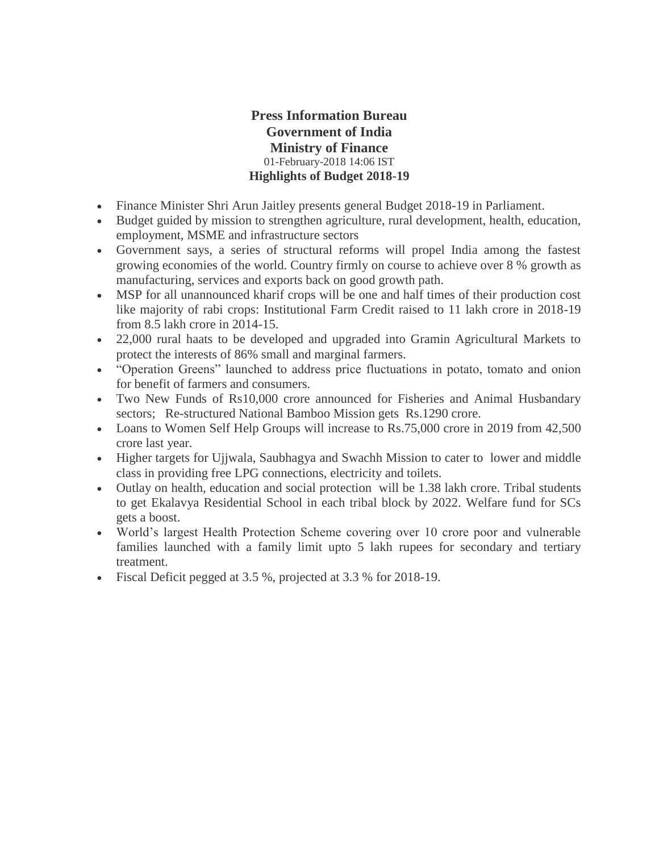# **Press Information Bureau Government of India Ministry of Finance** 01-February-2018 14:06 IST **Highlights of Budget 2018-19**

- Finance Minister Shri Arun Jaitley presents general Budget 2018-19 in Parliament.
- Budget guided by mission to strengthen agriculture, rural development, health, education, employment, MSME and infrastructure sectors
- Government says, a series of structural reforms will propel India among the fastest growing economies of the world. Country firmly on course to achieve over 8 % growth as manufacturing, services and exports back on good growth path.
- MSP for all unannounced kharif crops will be one and half times of their production cost like majority of rabi crops: Institutional Farm Credit raised to 11 lakh crore in 2018-19 from 8.5 lakh crore in 2014-15.
- 22,000 rural haats to be developed and upgraded into Gramin Agricultural Markets to protect the interests of 86% small and marginal farmers.
- "Operation Greens" launched to address price fluctuations in potato, tomato and onion for benefit of farmers and consumers.
- Two New Funds of Rs10,000 crore announced for Fisheries and Animal Husbandary sectors; Re-structured National Bamboo Mission gets Rs.1290 crore.
- Loans to Women Self Help Groups will increase to Rs.75,000 crore in 2019 from 42,500 crore last year.
- Higher targets for Ujjwala, Saubhagya and Swachh Mission to cater to lower and middle class in providing free LPG connections, electricity and toilets.
- Outlay on health, education and social protection will be 1.38 lakh crore. Tribal students to get Ekalavya Residential School in each tribal block by 2022. Welfare fund for SCs gets a boost.
- World's largest Health Protection Scheme covering over 10 crore poor and vulnerable families launched with a family limit upto 5 lakh rupees for secondary and tertiary treatment.
- Fiscal Deficit pegged at 3.5 %, projected at 3.3 % for 2018-19.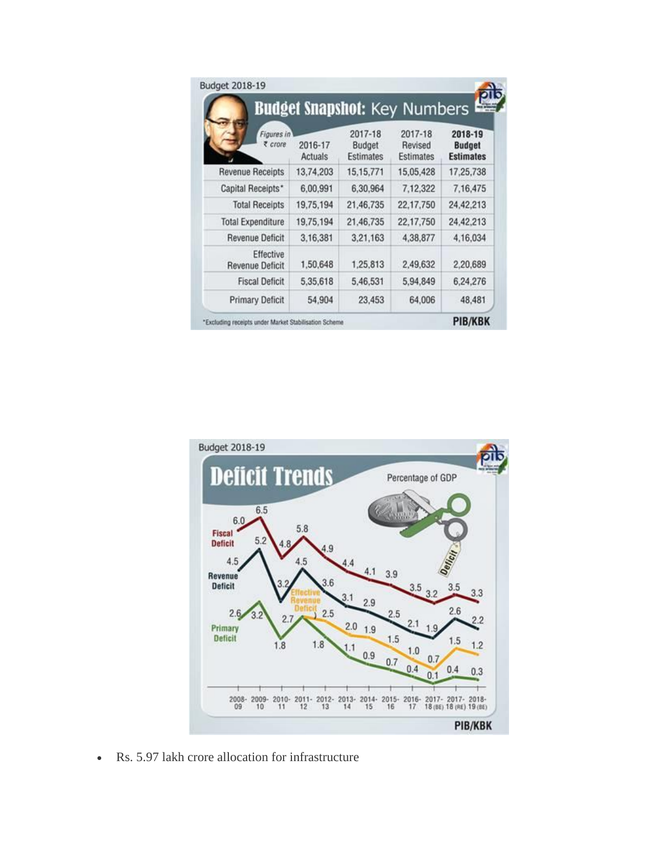| Figures in<br>₹ crore               | 2016-17<br>Actuals | 2017-18<br>Budget<br><b>Estimates</b> | 2017-18<br>Revised<br><b>Estimates</b> | 2018-19<br><b>Budget</b><br><b>Estimates</b> |
|-------------------------------------|--------------------|---------------------------------------|----------------------------------------|----------------------------------------------|
| <b>Revenue Receipts</b>             | 13,74,203          | 15, 15, 771                           | 15,05,428                              | 17,25,738                                    |
| Capital Receipts*                   | 6.00.991           | 6,30,964                              | 7,12,322                               | 7.16.475                                     |
| <b>Total Receipts</b>               | 19,75,194          | 21,46,735                             | 22,17,750                              | 24,42,213                                    |
| <b>Total Expenditure</b>            | 19,75,194          | 21,46,735                             | 22,17,750                              | 24.42.213                                    |
| <b>Revenue Deficit</b>              | 3,16,381           | 3,21,163                              | 4,38,877                               | 4,16,034                                     |
| Effective<br><b>Revenue Deficit</b> | 1,50,648           | 1,25,813                              | 2,49,632                               | 2,20,689                                     |
| <b>Fiscal Deficit</b>               | 5,35,618           | 5,46,531                              | 5,94,849                               | 6,24,276                                     |
| <b>Primary Deficit</b>              | 54.904             | 23,453                                | 64,006                                 | 48,481                                       |



Rs. 5.97 lakh crore allocation for infrastructure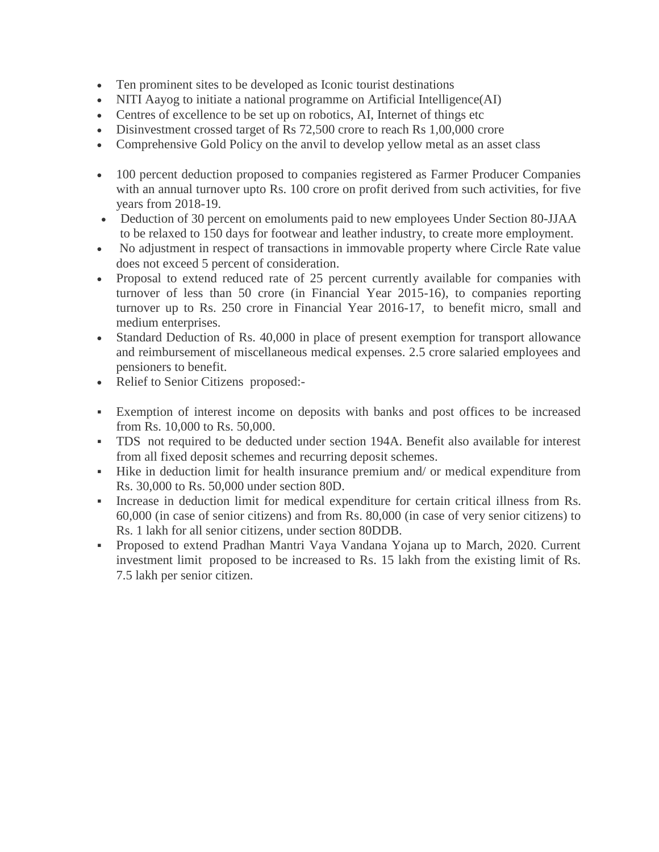- Ten prominent sites to be developed as Iconic tourist destinations
- NITI Aayog to initiate a national programme on Artificial Intelligence(AI)
- Centres of excellence to be set up on robotics, AI, Internet of things etc
- Disinvestment crossed target of Rs 72,500 crore to reach Rs 1,00,000 crore
- Comprehensive Gold Policy on the anvil to develop yellow metal as an asset class
- 100 percent deduction proposed to companies registered as Farmer Producer Companies with an annual turnover upto Rs. 100 crore on profit derived from such activities, for five years from 2018-19.
- Deduction of 30 percent on emoluments paid to new employees Under Section 80-JJAA to be relaxed to 150 days for footwear and leather industry, to create more employment.
- No adjustment in respect of transactions in immovable property where Circle Rate value does not exceed 5 percent of consideration.
- Proposal to extend reduced rate of 25 percent currently available for companies with turnover of less than 50 crore (in Financial Year 2015-16), to companies reporting turnover up to Rs. 250 crore in Financial Year 2016-17, to benefit micro, small and medium enterprises.
- Standard Deduction of Rs. 40,000 in place of present exemption for transport allowance and reimbursement of miscellaneous medical expenses. 2.5 crore salaried employees and pensioners to benefit.
- Relief to Senior Citizens proposed:-
- Exemption of interest income on deposits with banks and post offices to be increased from Rs. 10,000 to Rs. 50,000.
- TDS not required to be deducted under section 194A. Benefit also available for interest from all fixed deposit schemes and recurring deposit schemes.
- Hike in deduction limit for health insurance premium and/ or medical expenditure from Rs. 30,000 to Rs. 50,000 under section 80D.
- Increase in deduction limit for medical expenditure for certain critical illness from Rs. 60,000 (in case of senior citizens) and from Rs. 80,000 (in case of very senior citizens) to Rs. 1 lakh for all senior citizens, under section 80DDB.
- Proposed to extend Pradhan Mantri Vaya Vandana Yojana up to March, 2020. Current investment limit proposed to be increased to Rs. 15 lakh from the existing limit of Rs. 7.5 lakh per senior citizen.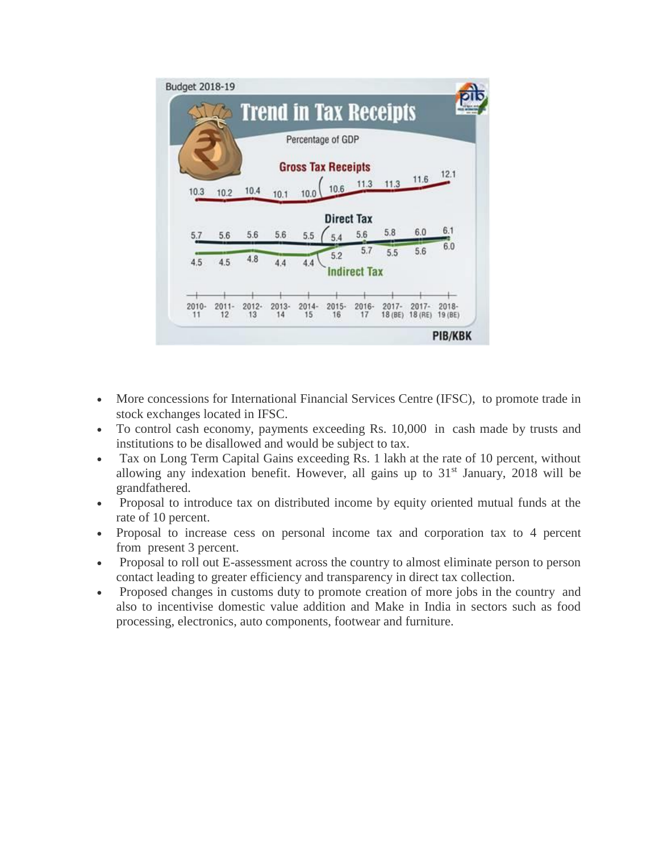

- More concessions for International Financial Services Centre (IFSC), to promote trade in stock exchanges located in IFSC.
- To control cash economy, payments exceeding Rs. 10,000 in cash made by trusts and institutions to be disallowed and would be subject to tax.
- Tax on Long Term Capital Gains exceeding Rs. 1 lakh at the rate of 10 percent, without allowing any indexation benefit. However, all gains up to  $31<sup>st</sup>$  January, 2018 will be grandfathered.
- Proposal to introduce tax on distributed income by equity oriented mutual funds at the rate of 10 percent.
- Proposal to increase cess on personal income tax and corporation tax to 4 percent from present 3 percent.
- Proposal to roll out E-assessment across the country to almost eliminate person to person contact leading to greater efficiency and transparency in direct tax collection.
- Proposed changes in customs duty to promote creation of more jobs in the country and also to incentivise domestic value addition and Make in India in sectors such as food processing, electronics, auto components, footwear and furniture.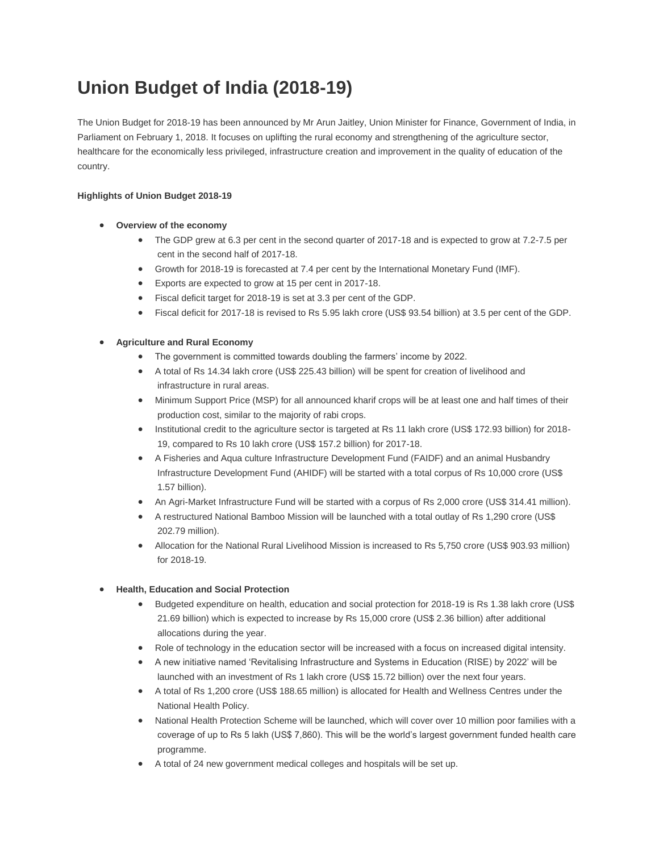# **Union Budget of India (2018-19)**

The Union Budget for 2018-19 has been announced by Mr Arun Jaitley, Union Minister for Finance, Government of India, in Parliament on February 1, 2018. It focuses on uplifting the rural economy and strengthening of the agriculture sector, healthcare for the economically less privileged, infrastructure creation and improvement in the quality of education of the country.

## **Highlights of Union Budget 2018-19**

- **Overview of the economy**
	- The GDP grew at 6.3 per cent in the second quarter of 2017-18 and is expected to grow at 7.2-7.5 per cent in the second half of 2017-18.
	- Growth for 2018-19 is forecasted at 7.4 per cent by the International Monetary Fund (IMF).
	- Exports are expected to grow at 15 per cent in 2017-18.
	- Fiscal deficit target for 2018-19 is set at 3.3 per cent of the GDP.
	- Fiscal deficit for 2017-18 is revised to Rs 5.95 lakh crore (US\$ 93.54 billion) at 3.5 per cent of the GDP.

# **Agriculture and Rural Economy**

- The government is committed towards doubling the farmers' income by 2022.
- A total of Rs 14.34 lakh crore (US\$ 225.43 billion) will be spent for creation of livelihood and infrastructure in rural areas.
- Minimum Support Price (MSP) for all announced kharif crops will be at least one and half times of their production cost, similar to the majority of rabi crops.
- Institutional credit to the agriculture sector is targeted at Rs 11 lakh crore (US\$ 172.93 billion) for 2018- 19, compared to Rs 10 lakh crore (US\$ 157.2 billion) for 2017-18.
- A Fisheries and Aqua culture Infrastructure Development Fund (FAIDF) and an animal Husbandry Infrastructure Development Fund (AHIDF) will be started with a total corpus of Rs 10,000 crore (US\$ 1.57 billion).
- An Agri-Market Infrastructure Fund will be started with a corpus of Rs 2,000 crore (US\$ 314.41 million).
- A restructured National Bamboo Mission will be launched with a total outlay of Rs 1,290 crore (US\$ 202.79 million).
- Allocation for the National Rural Livelihood Mission is increased to Rs 5,750 crore (US\$ 903.93 million) for 2018-19.

### **Health, Education and Social Protection**

- Budgeted expenditure on health, education and social protection for 2018-19 is Rs 1.38 lakh crore (US\$ 21.69 billion) which is expected to increase by Rs 15,000 crore (US\$ 2.36 billion) after additional allocations during the year.
- Role of technology in the education sector will be increased with a focus on increased digital intensity.
- A new initiative named 'Revitalising Infrastructure and Systems in Education (RISE) by 2022' will be launched with an investment of Rs 1 lakh crore (US\$ 15.72 billion) over the next four years.
- A total of Rs 1,200 crore (US\$ 188.65 million) is allocated for Health and Wellness Centres under the National Health Policy.
- National Health Protection Scheme will be launched, which will cover over 10 million poor families with a coverage of up to Rs 5 lakh (US\$ 7,860). This will be the world's largest government funded health care programme.
- A total of 24 new government medical colleges and hospitals will be set up.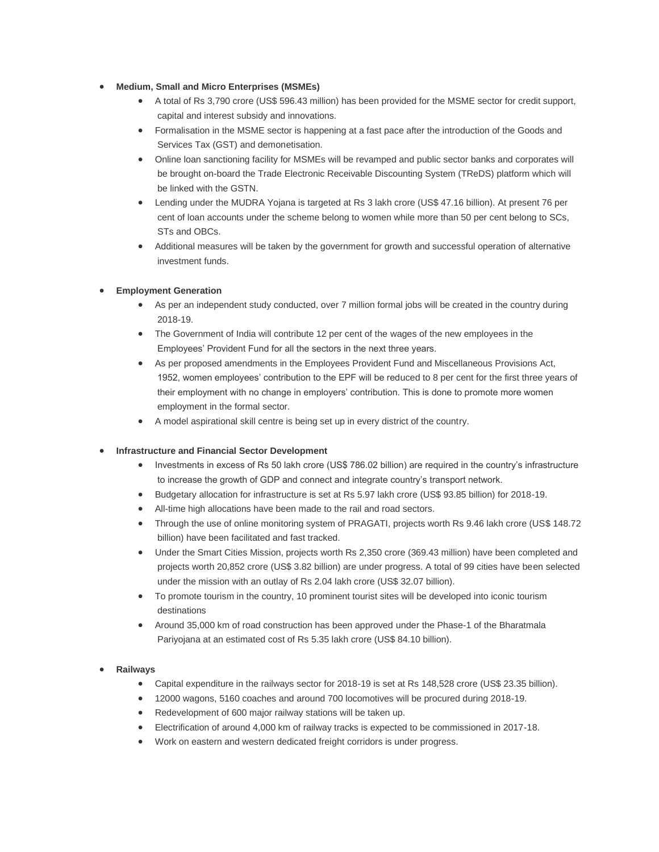- **Medium, Small and Micro Enterprises (MSMEs)** 
	- A total of Rs 3,790 crore (US\$ 596.43 million) has been provided for the MSME sector for credit support, capital and interest subsidy and innovations.
	- Formalisation in the MSME sector is happening at a fast pace after the introduction of the Goods and Services Tax (GST) and demonetisation.
	- Online loan sanctioning facility for MSMEs will be revamped and public sector banks and corporates will be brought on-board the Trade Electronic Receivable Discounting System (TReDS) platform which will be linked with the GSTN.
	- Lending under the MUDRA Yojana is targeted at Rs 3 lakh crore (US\$ 47.16 billion). At present 76 per cent of loan accounts under the scheme belong to women while more than 50 per cent belong to SCs, STs and OBCs.
	- Additional measures will be taken by the government for growth and successful operation of alternative investment funds.

#### **Employment Generation**

- As per an independent study conducted, over 7 million formal jobs will be created in the country during 2018-19.
- The Government of India will contribute 12 per cent of the wages of the new employees in the Employees' Provident Fund for all the sectors in the next three years.
- As per proposed amendments in the Employees Provident Fund and Miscellaneous Provisions Act, 1952, women employees' contribution to the EPF will be reduced to 8 per cent for the first three years of their employment with no change in employers' contribution. This is done to promote more women employment in the formal sector.
- A model aspirational skill centre is being set up in every district of the country.

#### **Infrastructure and Financial Sector Development**

- Investments in excess of Rs 50 lakh crore (US\$ 786.02 billion) are required in the country's infrastructure to increase the growth of GDP and connect and integrate country's transport network.
- Budgetary allocation for infrastructure is set at Rs 5.97 lakh crore (US\$ 93.85 billion) for 2018-19.
- All-time high allocations have been made to the rail and road sectors.
- Through the use of online monitoring system of PRAGATI, projects worth Rs 9.46 lakh crore (US\$ 148.72 billion) have been facilitated and fast tracked.
- Under the Smart Cities Mission, projects worth Rs 2,350 crore (369.43 million) have been completed and projects worth 20,852 crore (US\$ 3.82 billion) are under progress. A total of 99 cities have been selected under the mission with an outlay of Rs 2.04 lakh crore (US\$ 32.07 billion).
- To promote tourism in the country, 10 prominent tourist sites will be developed into iconic tourism destinations
- Around 35,000 km of road construction has been approved under the Phase-1 of the Bharatmala Pariyojana at an estimated cost of Rs 5.35 lakh crore (US\$ 84.10 billion).

#### **Railways**

- Capital expenditure in the railways sector for 2018-19 is set at Rs 148,528 crore (US\$ 23.35 billion).
- 12000 wagons, 5160 coaches and around 700 locomotives will be procured during 2018-19.
- Redevelopment of 600 major railway stations will be taken up.
- Electrification of around 4,000 km of railway tracks is expected to be commissioned in 2017-18.
- Work on eastern and western dedicated freight corridors is under progress.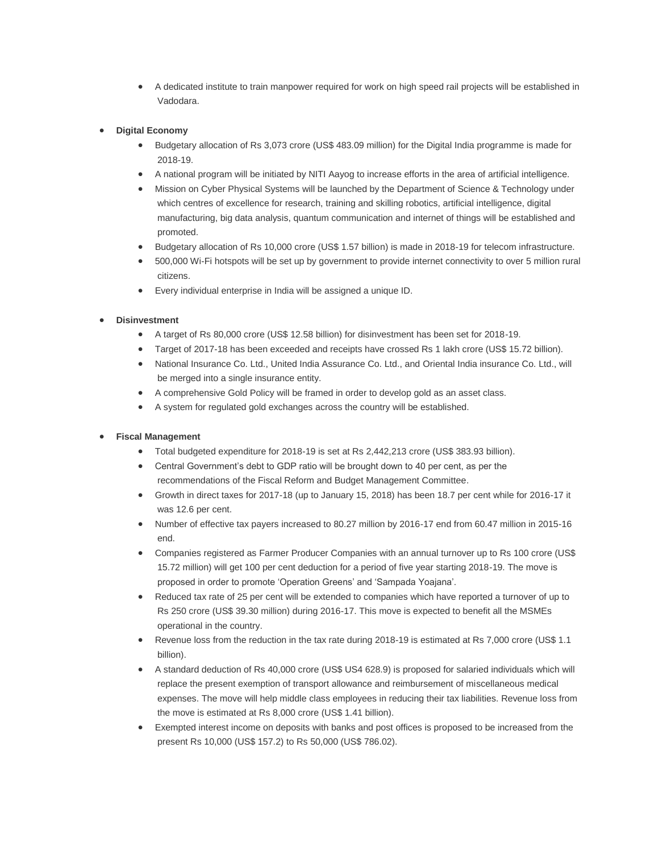A dedicated institute to train manpower required for work on high speed rail projects will be established in Vadodara.

#### **Digital Economy**

- Budgetary allocation of Rs 3,073 crore (US\$ 483.09 million) for the Digital India programme is made for 2018-19.
- A national program will be initiated by NITI Aayog to increase efforts in the area of artificial intelligence.
- Mission on Cyber Physical Systems will be launched by the Department of Science & Technology under which centres of excellence for research, training and skilling robotics, artificial intelligence, digital manufacturing, big data analysis, quantum communication and internet of things will be established and promoted.
- Budgetary allocation of Rs 10,000 crore (US\$ 1.57 billion) is made in 2018-19 for telecom infrastructure.
- 500,000 Wi-Fi hotspots will be set up by government to provide internet connectivity to over 5 million rural citizens.
- Every individual enterprise in India will be assigned a unique ID.

#### **Disinvestment**

- A target of Rs 80,000 crore (US\$ 12.58 billion) for disinvestment has been set for 2018-19.
- Target of 2017-18 has been exceeded and receipts have crossed Rs 1 lakh crore (US\$ 15.72 billion).
- National Insurance Co. Ltd., United India Assurance Co. Ltd., and Oriental India insurance Co. Ltd., will be merged into a single insurance entity.
- A comprehensive Gold Policy will be framed in order to develop gold as an asset class.
- A system for regulated gold exchanges across the country will be established.

#### **Fiscal Management**

- Total budgeted expenditure for 2018-19 is set at Rs 2,442,213 crore (US\$ 383.93 billion).
- Central Government's debt to GDP ratio will be brought down to 40 per cent, as per the recommendations of the Fiscal Reform and Budget Management Committee.
- Growth in direct taxes for 2017-18 (up to January 15, 2018) has been 18.7 per cent while for 2016-17 it was 12.6 per cent.
- Number of effective tax payers increased to 80.27 million by 2016-17 end from 60.47 million in 2015-16 end.
- Companies registered as Farmer Producer Companies with an annual turnover up to Rs 100 crore (US\$ 15.72 million) will get 100 per cent deduction for a period of five year starting 2018-19. The move is proposed in order to promote 'Operation Greens' and 'Sampada Yoajana'.
- Reduced tax rate of 25 per cent will be extended to companies which have reported a turnover of up to Rs 250 crore (US\$ 39.30 million) during 2016-17. This move is expected to benefit all the MSMEs operational in the country.
- Revenue loss from the reduction in the tax rate during 2018-19 is estimated at Rs 7,000 crore (US\$ 1.1) billion).
- A standard deduction of Rs 40,000 crore (US\$ US4 628.9) is proposed for salaried individuals which will replace the present exemption of transport allowance and reimbursement of miscellaneous medical expenses. The move will help middle class employees in reducing their tax liabilities. Revenue loss from the move is estimated at Rs 8,000 crore (US\$ 1.41 billion).
- Exempted interest income on deposits with banks and post offices is proposed to be increased from the present Rs 10,000 (US\$ 157.2) to Rs 50,000 (US\$ 786.02).